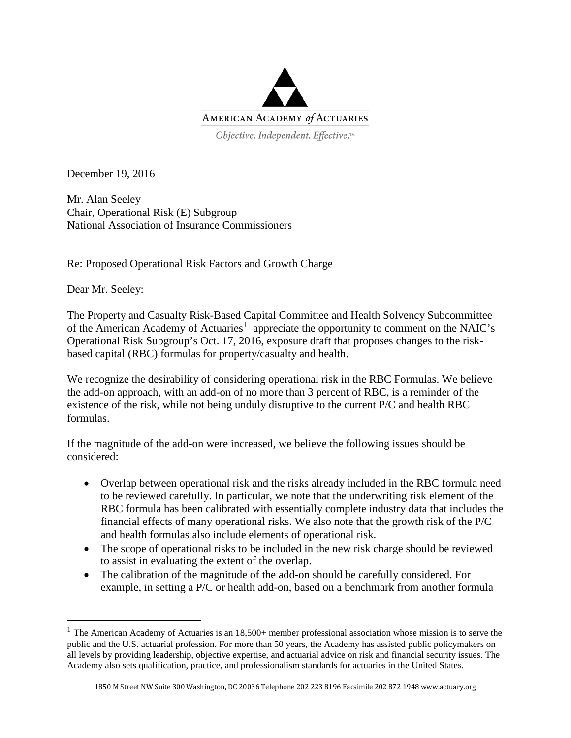

Objective. Independent. Effective.™

December 19, 2016

Mr. Alan Seeley Chair, Operational Risk (E) Subgroup National Association of Insurance Commissioners

Re: Proposed Operational Risk Factors and Growth Charge

Dear Mr. Seeley:

The Property and Casualty Risk-Based Capital Committee and Health Solvency Subcommittee of the American Academy of Actuaries<sup>[1](#page-0-0)</sup> appreciate the opportunity to comment on the NAIC's Operational Risk Subgroup's Oct. 17, 2016, exposure draft that proposes changes to the riskbased capital (RBC) formulas for property/casualty and health.

We recognize the desirability of considering operational risk in the RBC Formulas. We believe the add-on approach, with an add-on of no more than 3 percent of RBC, is a reminder of the existence of the risk, while not being unduly disruptive to the current P/C and health RBC formulas.

If the magnitude of the add-on were increased, we believe the following issues should be considered:

- Overlap between operational risk and the risks already included in the RBC formula need to be reviewed carefully. In particular, we note that the underwriting risk element of the RBC formula has been calibrated with essentially complete industry data that includes the financial effects of many operational risks. We also note that the growth risk of the P/C and health formulas also include elements of operational risk.
- The scope of operational risks to be included in the new risk charge should be reviewed to assist in evaluating the extent of the overlap.
- The calibration of the magnitude of the add-on should be carefully considered. For example, in setting a P/C or health add-on, based on a benchmark from another formula

<span id="page-0-0"></span><sup>&</sup>lt;sup>1</sup> The American Academy of Actuaries is an  $18,500+$  member professional association whose mission is to serve the public and the U.S. actuarial profession. For more than 50 years, the Academy has assisted public policymakers on all levels by providing leadership, objective expertise, and actuarial advice on risk and financial security issues. The Academy also sets qualification, practice, and professionalism standards for actuaries in the United States.